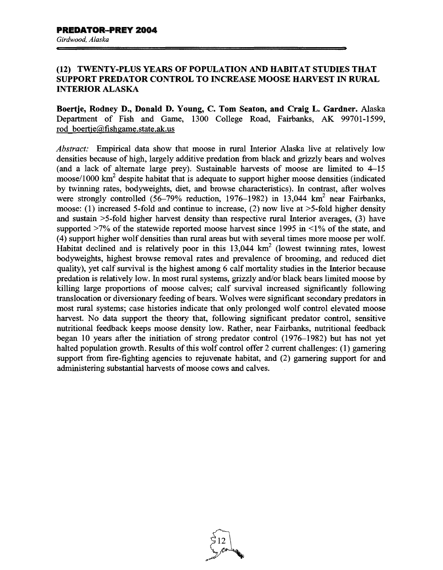## (12) TWENTY-PLUS YEARS OF POPULATION AND HABITAT STUDIES THAT SUPPORT PREDATOR CONTROL TO INCREASE MOOSE HARVEST IN RURAL INTERIOR ALASKA

Boertje, Rodney D., Donald D. Young, C. Tom Seaton, and Craig L. Gardner. Alaska Department of Fish and Game, 1300 College Road, Fairbanks, AK 99701-1599, rod boertje@fishgame.state.ak.us

*Abstract:* Empirical data show that moose in rural Interior Alaska live at relatively low densities because of high, largely additive predation from black and grizzly bears and wolves (and a lack of alternate large prey). Sustainable harvests of moose are limited to 4-15 moose/1000  $km^2$  despite habitat that is adequate to support higher moose densities (indicated by twinning rates, bodyweights, diet, and browse characteristics). In contrast, after wolves were strongly controlled  $(56-79\%$  reduction, 1976-1982) in 13,044 km<sup>2</sup> near Fairbanks, moose: (1) increased 5-fold and continue to increase, (2) now live at  $>5$ -fold higher density and sustain >5-fold higher harvest density than respective rural Interior averages, (3) have supported  $>7\%$  of the statewide reported moose harvest since 1995 in  $\leq 1\%$  of the state, and (4) support higher wolf densities than rural areas but with several times more moose per wolf. Habitat declined and is relatively poor in this  $13,044 \text{ km}^2$  (lowest twinning rates, lowest bodyweights, highest browse removal rates and prevalence of brooming, and reduced diet quality), yet calf survival is the highest among 6 calf mortality studies in the Interior because predation is relatively low. In most rural systems, grizzly and/or black bears limited moose by killing large proportions of moose calves; calf survival increased significantly following translocation or diversionary feeding of bears. Wolves were significant secondary predators in most rural systems; case histories indicate that only prolonged wolf control elevated moose harvest. No data support the theory that, following significant predator control, sensitive nutritional feedback keeps moose density low. Rather, near Fairbanks, nutritional feedback began 10 years after the initiation of strong predator control (1976-1982) but has not yet halted population growth. Results of this wolf control offer 2 current challenges: (1) garnering support from fire-fighting agencies to rejuvenate habitat, and (2) garnering support for and administering substantial harvests of moose cows and calves.